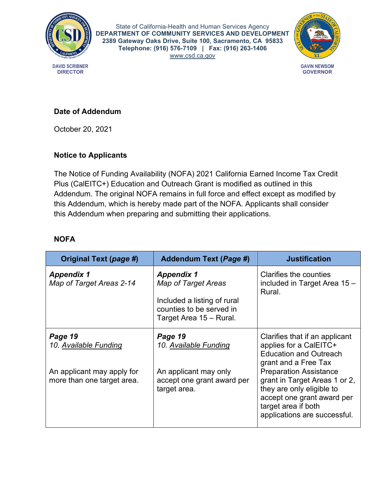

State of California-Health and Human Services Agency **DEPARTMENT OF COMMUNITY SERVICES AND DEVELOPMENT 2389 Gateway Oaks Drive, Suite 100, Sacramento, CA 95833 Telephone: (916) 576-7109 | Fax: (916) 263-1406** [www.csd.ca.gov](http://www.csd.ca.gov/)



### **Date of Addendum**

October 20, 2021

#### **Notice to Applicants**

The Notice of Funding Availability (NOFA) 2021 California Earned Income Tax Credit Plus (CalEITC+) Education and Outreach Grant is modified as outlined in this Addendum. The original NOFA remains in full force and effect except as modified by this Addendum, which is hereby made part of the NOFA. Applicants shall consider this Addendum when preparing and submitting their applications.

#### **NOFA**

| Original Text (page #)                                   | Addendum Text ( <i>Page #</i> )                                                                                                       | <b>Justification</b>                                                                                                                                                             |
|----------------------------------------------------------|---------------------------------------------------------------------------------------------------------------------------------------|----------------------------------------------------------------------------------------------------------------------------------------------------------------------------------|
| <b>Appendix 1</b><br>Map of Target Areas 2-14            | <b>Appendix 1</b><br><b>Map of Target Areas</b><br>Included a listing of rural<br>counties to be served in<br>Target Area 15 - Rural. | Clarifies the counties<br>included in Target Area 15 -<br>Rural.                                                                                                                 |
| Page 19<br>10. Available Funding                         | Page 19<br>10. Available Funding                                                                                                      | Clarifies that if an applicant<br>applies for a CalEITC+<br><b>Education and Outreach</b><br>grant and a Free Tax                                                                |
| An applicant may apply for<br>more than one target area. | An applicant may only<br>accept one grant award per<br>target area.                                                                   | <b>Preparation Assistance</b><br>grant in Target Areas 1 or 2,<br>they are only eligible to<br>accept one grant award per<br>target area if both<br>applications are successful. |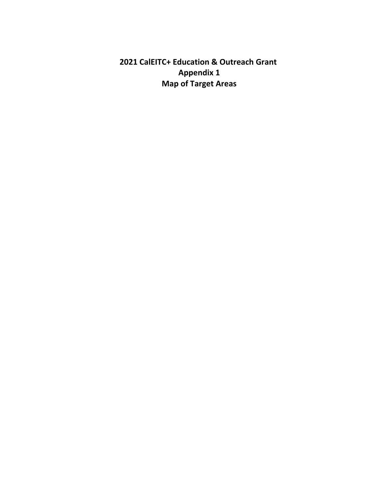**2021 CalEITC+ Education & Outreach Grant Appendix 1 Map of Target Areas**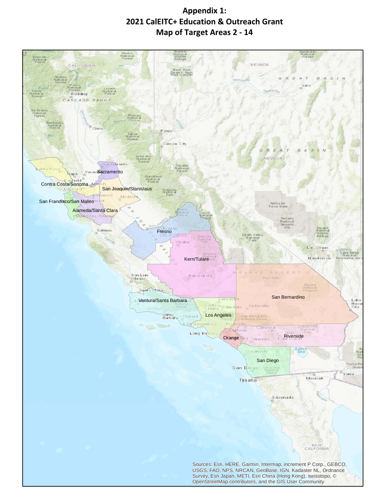# **Appendix 1: 2021 CalEITC+ Education & Outreach Grant Map of Target Areas 2 - 14**